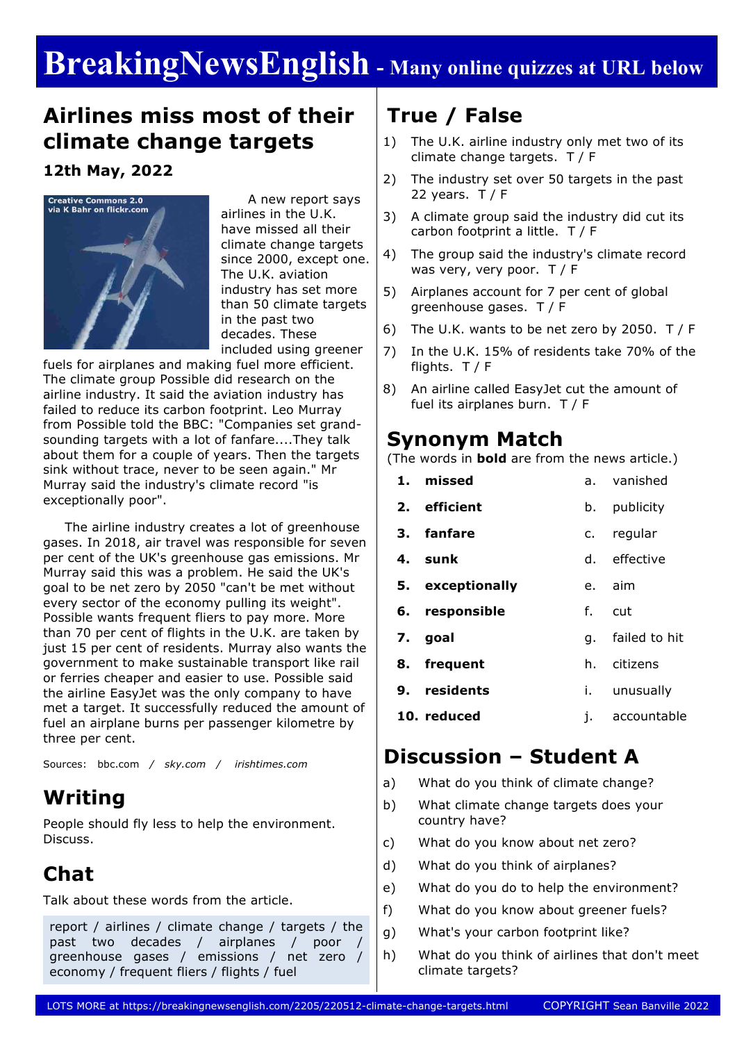# **BreakingNewsEnglish - Many online quizzes at URL below**

### **Airlines miss most of their climate change targets**

#### **12th May, 2022**



 A new report says airlines in the U.K. have missed all their climate change targets since 2000, except one. The U.K. aviation industry has set more than 50 climate targets in the past two decades. These included using greener

fuels for airplanes and making fuel more efficient. The climate group Possible did research on the airline industry. It said the aviation industry has failed to reduce its carbon footprint. Leo Murray from Possible told the BBC: "Companies set grandsounding targets with a lot of fanfare....They talk about them for a couple of years. Then the targets sink without trace, never to be seen again." Mr Murray said the industry's climate record "is exceptionally poor".

 The airline industry creates a lot of greenhouse gases. In 2018, air travel was responsible for seven per cent of the UK's greenhouse gas emissions. Mr Murray said this was a problem. He said the UK's goal to be net zero by 2050 "can't be met without every sector of the economy pulling its weight". Possible wants frequent fliers to pay more. More than 70 per cent of flights in the U.K. are taken by just 15 per cent of residents. Murray also wants the government to make sustainable transport like rail or ferries cheaper and easier to use. Possible said the airline EasyJet was the only company to have met a target. It successfully reduced the amount of fuel an airplane burns per passenger kilometre by three per cent.

Sources: bbc.com */ sky.com / irishtimes.com*

### **Writing**

People should fly less to help the environment. Discuss.

### **Chat**

Talk about these words from the article.

report / airlines / climate change / targets / the past two decades / airplanes / poor greenhouse gases / emissions / net zero / economy / frequent fliers / flights / fuel

### **True / False**

- 1) The U.K. airline industry only met two of its climate change targets. T / F
- 2) The industry set over 50 targets in the past 22 years.  $T / F$
- 3) A climate group said the industry did cut its carbon footprint a little. T / F
- 4) The group said the industry's climate record was very, very poor. T / F
- 5) Airplanes account for 7 per cent of global greenhouse gases. T / F
- 6) The U.K. wants to be net zero by 2050. T / F
- 7) In the U.K. 15% of residents take 70% of the flights. T / F
- 8) An airline called EasyJet cut the amount of fuel its airplanes burn. T / F

#### **Synonym Match**

(The words in **bold** are from the news article.)

**1. missed 2. efficient 3. fanfare 4. sunk 5. exceptionally 6. responsible 7. goal 8. frequent 9. residents 10. reduced** a. vanished b. publicity c. regular d. effective e. aim f. cut g. failed to hit h. citizens i. unusually j. accountable

#### **Discussion – Student A**

- a) What do you think of climate change?
- b) What climate change targets does your country have?
- c) What do you know about net zero?
- d) What do you think of airplanes?
- e) What do you do to help the environment?
- f) What do you know about greener fuels?
- g) What's your carbon footprint like?
- h) What do you think of airlines that don't meet climate targets?